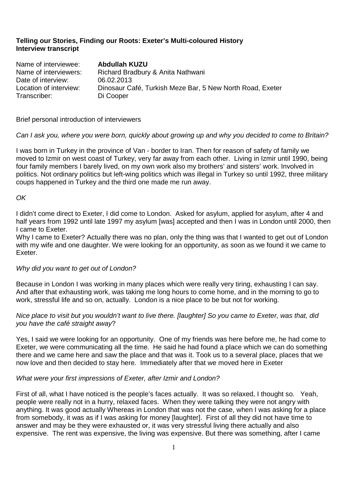# **Telling our Stories, Finding our Roots: Exeter's Multi-coloured History Interview transcript**

Name of interviewee: **Abdullah KUZU**  Name of interviewers: Richard Bradbury & Anita Nathwani Date of interview: 06.02.2013 Location of interview: Dinosaur Café, Turkish Meze Bar, 5 New North Road, Exeter Transcriber: Di Cooper

Brief personal introduction of interviewers

## Can I ask you, where you were born, quickly about growing up and why you decided to come to Britain?

I was born in Turkey in the province of Van - border to Iran. Then for reason of safety of family we moved to Izmir on west coast of Turkey, very far away from each other. Living in Izmir until 1990, being four family members I barely lived, on my own work also my brothers' and sisters' work. Involved in politics. Not ordinary politics but left-wing politics which was illegal in Turkey so until 1992, three military coups happened in Turkey and the third one made me run away.

## OK

I didn't come direct to Exeter, I did come to London. Asked for asylum, applied for asylum, after 4 and half years from 1992 until late 1997 my asylum [was] accepted and then I was in London until 2000, then I came to Exeter.

Why I came to Exeter? Actually there was no plan, only the thing was that I wanted to get out of London with my wife and one daughter. We were looking for an opportunity, as soon as we found it we came to Exeter.

### Why did you want to get out of London?

Because in London I was working in many places which were really very tiring, exhausting I can say. And after that exhausting work, was taking me long hours to come home, and in the morning to go to work, stressful life and so on, actually. London is a nice place to be but not for working.

## Nice place to visit but you wouldn't want to live there. [laughter] So you came to Exeter, was that, did you have the café straight away?

Yes, I said we were looking for an opportunity. One of my friends was here before me, he had come to Exeter, we were communicating all the time. He said he had found a place which we can do something there and we came here and saw the place and that was it. Took us to a several place, places that we now love and then decided to stay here. Immediately after that we moved here in Exeter

### What were your first impressions of Exeter, after Izmir and London?

First of all, what I have noticed is the people's faces actually. It was so relaxed, I thought so. Yeah, people were really not in a hurry, relaxed faces. When they were talking they were not angry with anything. It was good actually Whereas in London that was not the case, when I was asking for a place from somebody, it was as if I was asking for money [laughter]. First of all they did not have time to answer and may be they were exhausted or, it was very stressful living there actually and also expensive. The rent was expensive, the living was expensive. But there was something, after I came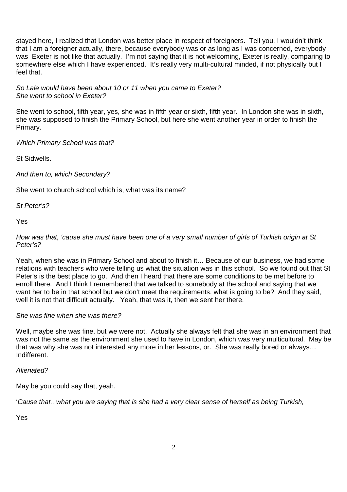stayed here, I realized that London was better place in respect of foreigners. Tell you, I wouldn't think that I am a foreigner actually, there, because everybody was or as long as I was concerned, everybody was Exeter is not like that actually. I'm not saying that it is not welcoming, Exeter is really, comparing to somewhere else which I have experienced. It's really very multi-cultural minded, if not physically but I feel that.

So Lale would have been about 10 or 11 when you came to Exeter? She went to school in Exeter?

She went to school, fifth year, yes, she was in fifth year or sixth, fifth year. In London she was in sixth, she was supposed to finish the Primary School, but here she went another year in order to finish the Primary.

Which Primary School was that?

St Sidwells.

And then to, which Secondary?

She went to church school which is, what was its name?

St Peter's?

Yes

How was that, 'cause she must have been one of a very small number of girls of Turkish origin at St Peter's?

Yeah, when she was in Primary School and about to finish it… Because of our business, we had some relations with teachers who were telling us what the situation was in this school. So we found out that St Peter's is the best place to go. And then I heard that there are some conditions to be met before to enroll there. And I think I remembered that we talked to somebody at the school and saying that we want her to be in that school but we don't meet the requirements, what is going to be? And they said, well it is not that difficult actually. Yeah, that was it, then we sent her there.

### She was fine when she was there?

Well, maybe she was fine, but we were not. Actually she always felt that she was in an environment that was not the same as the environment she used to have in London, which was very multicultural. May be that was why she was not interested any more in her lessons, or. She was really bored or always… Indifferent.

Alienated?

May be you could say that, yeah.

'Cause that.. what you are saying that is she had a very clear sense of herself as being Turkish,

Yes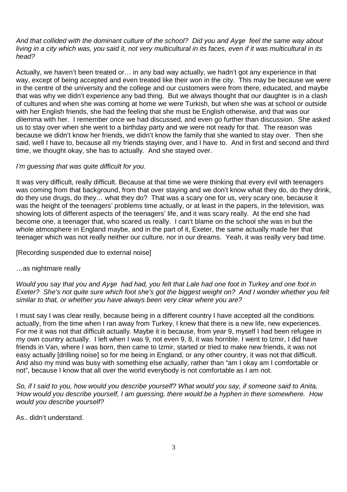And that collided with the dominant culture of the school? Did you and Ay*ş*e feel the same way about living in a city which was, you said it, not very multicultural in its faces, even if it was multicultural in its head?

Actually, we haven't been treated or… in any bad way actually, we hadn't got any experience in that way, except of being accepted and even treated like their won in the city. This may be because we were in the centre of the university and the college and our customers were from there, educated, and maybe that was why we didn't experience any bad thing. But we always thought that our daughter is in a clash of cultures and when she was coming at home we were Turkish, but when she was at school or outside with her English friends, she had the feeling that she must be English otherwise, and that was our dilemma with her. I remember once we had discussed, and even go further than discussion. She asked us to stay over when she went to a birthday party and we were not ready for that. The reason was because we didn't know her friends, we didn't know the family that she wanted to stay over. Then she said, well I have to, because all my friends staying over, and I have to. And in first and second and third time, we thought okay, she has to actually. And she stayed over.

## I'm guessing that was quite difficult for you.

It was very difficult, really difficult. Because at that time we were thinking that every evil with teenagers was coming from that background, from that over staying and we don't know what they do, do they drink, do they use drugs, do they… what they do? That was a scary one for us, very scary one, because it was the height of the teenagers' problems time actually, or at least in the papers, in the television, was showing lots of different aspects of the teenagers' life, and it was scary really. At the end she had become one, a teenager that, who scared us really. I can't blame on the school she was in but the whole atmosphere in England maybe, and in the part of it, Exeter, the same actually made her that teenager which was not really neither our culture, nor in our dreams. Yeah, it was really very bad time.

[Recording suspended due to external noise]

# …as nightmare really

Would you say that you and Ay*ş*e had had, you felt that Lale had one foot in Turkey and one foot in Exeter? She's not quite sure which foot she's got the biggest weight on? And I wonder whether you felt similar to that, or whether you have always been very clear where you are?

I must say I was clear really, because being in a different country I have accepted all the conditions actually, from the time when I ran away from Turkey, I knew that there is a new life, new experiences. For me it was not that difficult actually. Maybe it is because, from year 9, myself I had been refugee in my own country actually. I left when I was 9, not even 9, 8, it was horrible. I went to Izmir, I did have friends in Van, where I was born, then came to Izmir, started or tried to make new friends, it was not easy actually [drilling noise] so for me being in England, or any other country, it was not that difficult. And also my mind was busy with something else actually, rather than "am I okay am I comfortable or not", because I know that all over the world everybody is not comfortable as I am not.

So, if I said to you, how would you describe yourself? What would you say, if someone said to Anita, 'How would you describe yourself, I am guessing, there would be a hyphen in there somewhere. How would you describe yourself?

As.. didn't understand.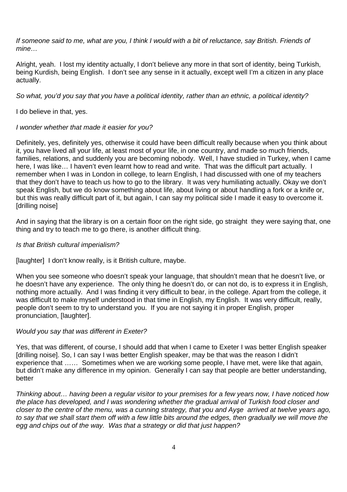If someone said to me, what are you, I think I would with a bit of reluctance, say British. Friends of mine…

Alright, yeah. I lost my identity actually, I don't believe any more in that sort of identity, being Turkish, being Kurdish, being English. I don't see any sense in it actually, except well I'm a citizen in any place actually.

So what, you'd you say that you have a political identity, rather than an ethnic, a political identity?

I do believe in that, yes.

#### I wonder whether that made it easier for you?

Definitely, yes, definitely yes, otherwise it could have been difficult really because when you think about it, you have lived all your life, at least most of your life, in one country, and made so much friends, families, relations, and suddenly you are becoming nobody. Well, I have studied in Turkey, when I came here, I was like... I haven't even learnt how to read and write. That was the difficult part actually. I remember when I was in London in college, to learn English, I had discussed with one of my teachers that they don't have to teach us how to go to the library. It was very humiliating actually. Okay we don't speak English, but we do know something about life, about living or about handling a fork or a knife or, but this was really difficult part of it, but again, I can say my political side I made it easy to overcome it. [drilling noise]

And in saying that the library is on a certain floor on the right side, go straight they were saying that, one thing and try to teach me to go there, is another difficult thing.

#### Is that British cultural imperialism?

[laughter] I don't know really, is it British culture, maybe.

When you see someone who doesn't speak your language, that shouldn't mean that he doesn't live, or he doesn't have any experience. The only thing he doesn't do, or can not do, is to express it in English, nothing more actually. And I was finding it very difficult to bear, in the college. Apart from the college, it was difficult to make myself understood in that time in English, my English. It was very difficult, really, people don't seem to try to understand you. If you are not saying it in proper English, proper pronunciation, [laughter].

### Would you say that was different in Exeter?

Yes, that was different, of course, I should add that when I came to Exeter I was better English speaker [drilling noise]. So, I can say I was better English speaker, may be that was the reason I didn't experience that …… Sometimes when we are working some people, I have met, were like that again, but didn't make any difference in my opinion. Generally I can say that people are better understanding, better

Thinking about… having been a regular visitor to your premises for a few years now, I have noticed how the place has developed, and I was wondering whether the gradual arrival of Turkish food closer and closer to the centre of the menu, was a cunning strategy, that you and Ay*ş*e arrived at twelve years ago, to say that we shall start them off with a few little bits around the edges, then gradually we will move the egg and chips out of the way. Was that a strategy or did that just happen?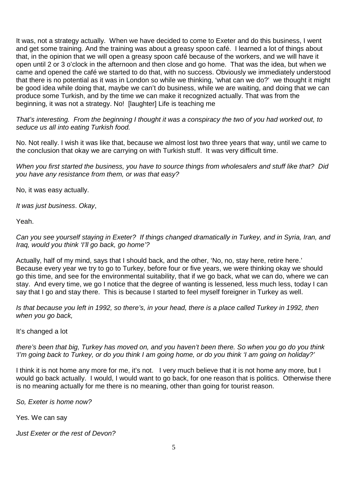It was, not a strategy actually. When we have decided to come to Exeter and do this business, I went and get some training. And the training was about a greasy spoon café. I learned a lot of things about that, in the opinion that we will open a greasy spoon café because of the workers, and we will have it open until 2 or 3 o'clock in the afternoon and then close and go home. That was the idea, but when we came and opened the café we started to do that, with no success. Obviously we immediately understood that there is no potential as it was in London so while we thinking, 'what can we do?' we thought it might be good idea while doing that, maybe we can't do business, while we are waiting, and doing that we can produce some Turkish, and by the time we can make it recognized actually. That was from the beginning, it was not a strategy. No! [laughter] Life is teaching me

That's interesting. From the beginning I thought it was a conspiracy the two of you had worked out, to seduce us all into eating Turkish food.

No. Not really. I wish it was like that, because we almost lost two three years that way, until we came to the conclusion that okay we are carrying on with Turkish stuff. It was very difficult time.

When you first started the business, you have to source things from wholesalers and stuff like that? Did you have any resistance from them, or was that easy?

No, it was easy actually.

It was just business. Okay,

Yeah.

Can you see yourself staying in Exeter? If things changed dramatically in Turkey, and in Syria, Iran, and Iraq, would you think 'I'll go back, go home'?

Actually, half of my mind, says that I should back, and the other, 'No, no, stay here, retire here.' Because every year we try to go to Turkey, before four or five years, we were thinking okay we should go this time, and see for the environmental suitability, that if we go back, what we can do, where we can stay. And every time, we go I notice that the degree of wanting is lessened, less much less, today I can say that I go and stay there. This is because I started to feel myself foreigner in Turkey as well.

Is that because you left in 1992, so there's, in your head, there is a place called Turkey in 1992, then when you go back,

It's changed a lot

there's been that big, Turkey has moved on, and you haven't been there. So when you go do you think 'I'm going back to Turkey, or do you think I am going home, or do you think 'I am going on holiday?'

I think it is not home any more for me, it's not. I very much believe that it is not home any more, but I would go back actually. I would, I would want to go back, for one reason that is politics. Otherwise there is no meaning actually for me there is no meaning, other than going for tourist reason.

So, Exeter is home now?

Yes. We can say

Just Exeter or the rest of Devon?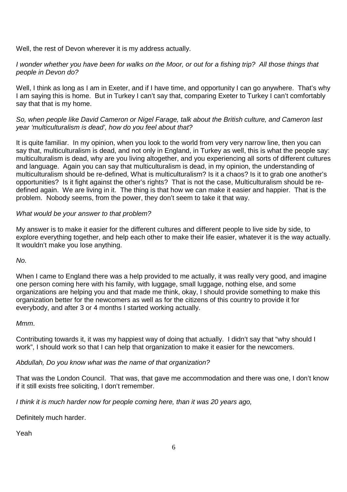Well, the rest of Devon wherever it is my address actually.

## I wonder whether you have been for walks on the Moor, or out for a fishing trip? All those things that people in Devon do?

Well, I think as long as I am in Exeter, and if I have time, and opportunity I can go anywhere. That's why I am saying this is home. But in Turkey I can't say that, comparing Exeter to Turkey I can't comfortably say that that is my home.

# So, when people like David Cameron or Nigel Farage, talk about the British culture, and Cameron last year 'multiculturalism is dead', how do you feel about that?

It is quite familiar. In my opinion, when you look to the world from very very narrow line, then you can say that, multiculturalism is dead, and not only in England, in Turkey as well, this is what the people say: multiculturalism is dead, why are you living altogether, and you experiencing all sorts of different cultures and language. Again you can say that multiculturalism is dead, in my opinion, the understanding of multiculturalism should be re-defined, What is multiculturalism? Is it a chaos? Is it to grab one another's opportunities? Is it fight against the other's rights? That is not the case, Multiculturalism should be redefined again. We are living in it. The thing is that how we can make it easier and happier. That is the problem. Nobody seems, from the power, they don't seem to take it that way.

# What would be your answer to that problem?

My answer is to make it easier for the different cultures and different people to live side by side, to explore everything together, and help each other to make their life easier, whatever it is the way actually. It wouldn't make you lose anything.

No.

When I came to England there was a help provided to me actually, it was really very good, and imagine one person coming here with his family, with luggage, small luggage, nothing else, and some organizations are helping you and that made me think, okay, I should provide something to make this organization better for the newcomers as well as for the citizens of this country to provide it for everybody, and after 3 or 4 months I started working actually.

# Mmm.

Contributing towards it, it was my happiest way of doing that actually. I didn't say that "why should I work", I should work so that I can help that organization to make it easier for the newcomers.

# Abdullah, Do you know what was the name of that organization?

That was the London Council. That was, that gave me accommodation and there was one, I don't know if it still exists free soliciting, I don't remember.

I think it is much harder now for people coming here, than it was 20 years ago,

Definitely much harder.

Yeah